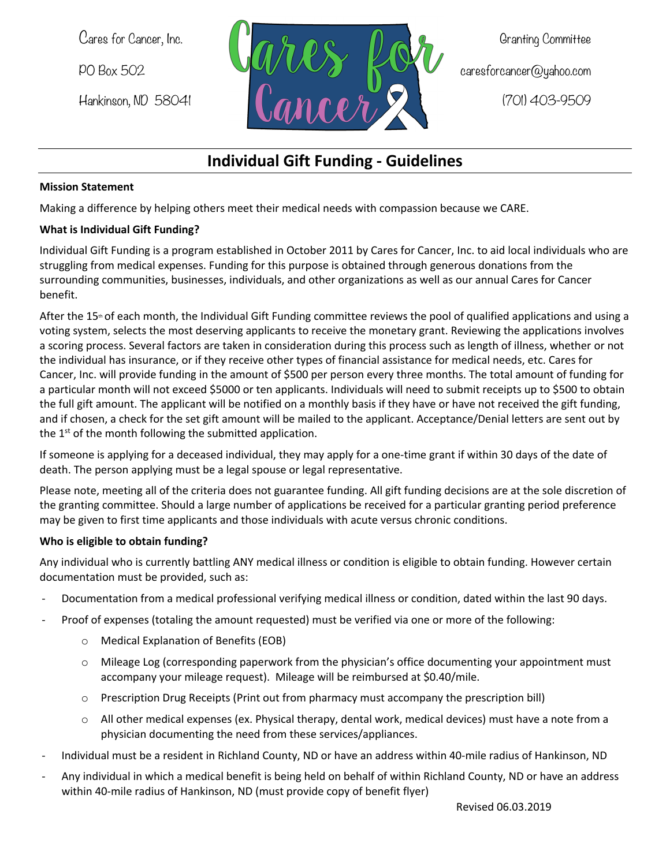

# **Individual Gift Funding - Guidelines**

#### **Mission Statement**

Making a difference by helping others meet their medical needs with compassion because we CARE.

#### **What is Individual Gift Funding?**

Individual Gift Funding is a program established in October 2011 by Cares for Cancer, Inc. to aid local individuals who are struggling from medical expenses. Funding for this purpose is obtained through generous donations from the surrounding communities, businesses, individuals, and other organizations as well as our annual Cares for Cancer benefit.

After the 15<sup>th</sup> of each month, the Individual Gift Funding committee reviews the pool of qualified applications and using a voting system, selects the most deserving applicants to receive the monetary grant. Reviewing the applications involves a scoring process. Several factors are taken in consideration during this process such as length of illness, whether or not the individual has insurance, or if they receive other types of financial assistance for medical needs, etc. Cares for Cancer, Inc. will provide funding in the amount of \$500 per person every three months. The total amount of funding for a particular month will not exceed \$5000 or ten applicants. Individuals will need to submit receipts up to \$500 to obtain the full gift amount. The applicant will be notified on a monthly basis if they have or have not received the gift funding, and if chosen, a check for the set gift amount will be mailed to the applicant. Acceptance/Denial letters are sent out by the  $1<sup>st</sup>$  of the month following the submitted application.

If someone is applying for a deceased individual, they may apply for a one-time grant if within 30 days of the date of death. The person applying must be a legal spouse or legal representative.

Please note, meeting all of the criteria does not guarantee funding. All gift funding decisions are at the sole discretion of the granting committee. Should a large number of applications be received for a particular granting period preference may be given to first time applicants and those individuals with acute versus chronic conditions.

## **Who is eligible to obtain funding?**

Any individual who is currently battling ANY medical illness or condition is eligible to obtain funding. However certain documentation must be provided, such as:

- Documentation from a medical professional verifying medical illness or condition, dated within the last 90 days.
- Proof of expenses (totaling the amount requested) must be verified via one or more of the following:
	- o Medical Explanation of Benefits (EOB)
	- o Mileage Log (corresponding paperwork from the physician's office documenting your appointment must accompany your mileage request). Mileage will be reimbursed at \$0.40/mile.
	- o Prescription Drug Receipts (Print out from pharmacy must accompany the prescription bill)
	- $\circ$  All other medical expenses (ex. Physical therapy, dental work, medical devices) must have a note from a physician documenting the need from these services/appliances.
- Individual must be a resident in Richland County, ND or have an address within 40-mile radius of Hankinson, ND
- Any individual in which a medical benefit is being held on behalf of within Richland County, ND or have an address within 40-mile radius of Hankinson, ND (must provide copy of benefit flyer)